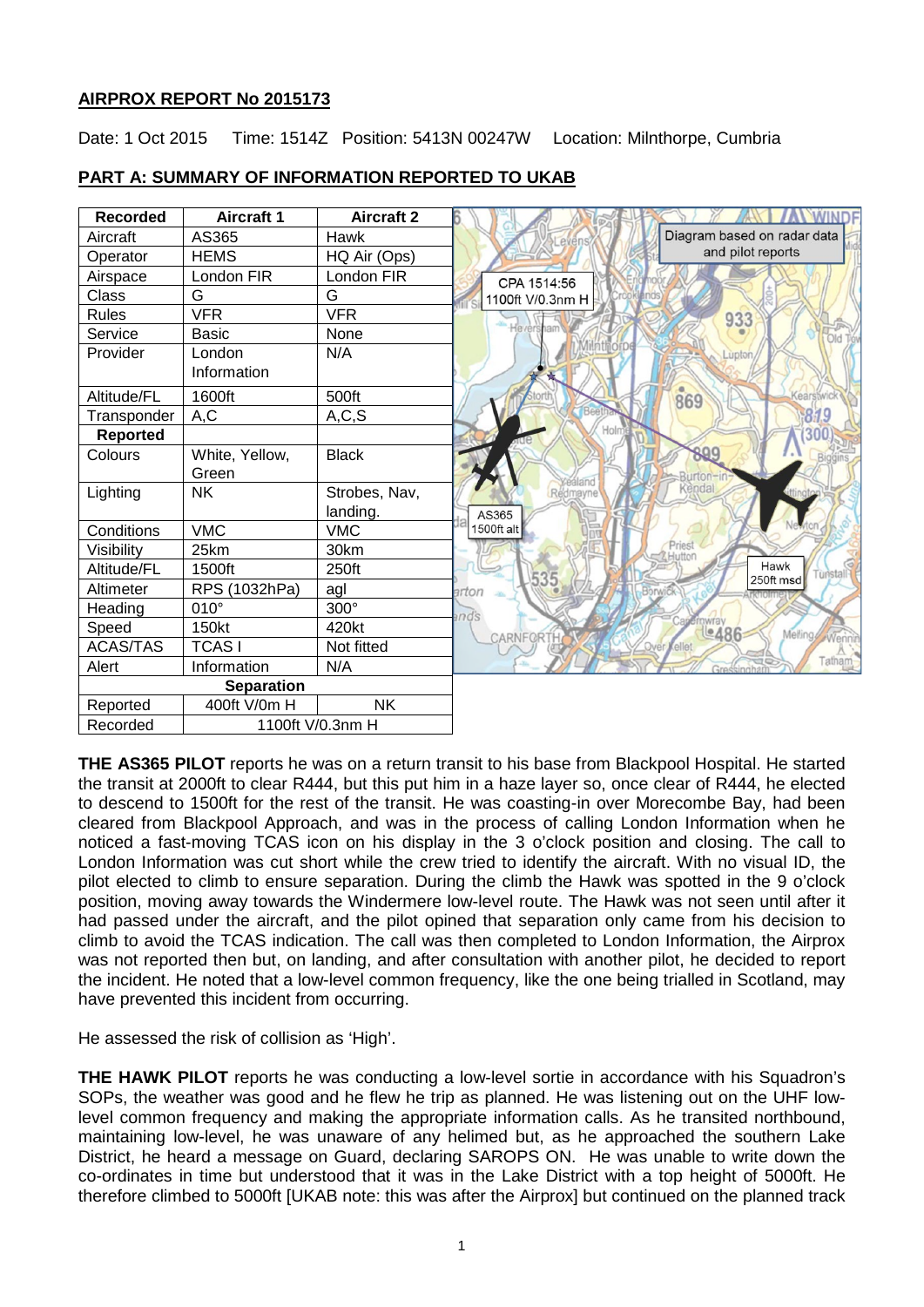# **AIRPROX REPORT No 2015173**

Date: 1 Oct 2015 Time: 1514Z Position: 5413N 00247W Location: Milnthorpe, Cumbria

| <b>Recorded</b>   | <b>Aircraft 1</b> | <b>Aircraft 2</b> |                                             |
|-------------------|-------------------|-------------------|---------------------------------------------|
| Aircraft          | AS365             | Hawk              | Diagram based on radar data<br>Levens       |
| Operator          | <b>HEMS</b>       | HQ Air (Ops)      | and pilot reports                           |
| Airspace          | London FIR        | London FIR        | CPA 1514:56                                 |
| Class             | G                 | G                 | 1100ft V/0.3nm H                            |
| <b>Rules</b>      | <b>VFR</b>        | <b>VFR</b>        | 933                                         |
| Service           | Basic             | None              | He vers                                     |
| Provider          | London            | N/A               | ntmofd<br>Luptor                            |
|                   | Information       |                   |                                             |
| Altitude/FL       | 1600ft            | 500ft             | 869<br>Kearstwic                            |
| Transponder       | A, C              | A, C, S           | 819                                         |
| <b>Reported</b>   |                   |                   | Holm                                        |
| Colours           | White, Yellow,    | <b>Black</b>      | 899                                         |
|                   | Green             |                   | rton<br>realand                             |
| Lighting          | <b>NK</b>         | Strobes, Nav,     | Kendal<br>Redmayne                          |
|                   |                   | landing.          | AS365                                       |
| Conditions        | <b>VMC</b>        | <b>VMC</b>        | 1500ft alt                                  |
| Visibility        | 25km              | 30km              | Priest                                      |
| Altitude/FL       | 1500ft            | 250ft             | Hawk<br>Turistall<br>535<br>250ft msd       |
| Altimeter         | RPS (1032hPa)     | agl               | Borwick<br>arton                            |
| Heading           | $010^\circ$       | 300°              | nds                                         |
| Speed             | 150kt             | 420kt             | wray<br>Le486<br>Melling<br>Wenn<br>CARNFOR |
| <b>ACAS/TAS</b>   | <b>TCASI</b>      | Not fitted        | Over Vellet                                 |
| Alert             | Information       | N/A               | Tatham                                      |
| <b>Separation</b> |                   |                   |                                             |
| Reported          | 400ft V/0m H      | <b>NK</b>         |                                             |
| Recorded          | 1100ft V/0.3nm H  |                   |                                             |

# **PART A: SUMMARY OF INFORMATION REPORTED TO UKAB**

**THE AS365 PILOT** reports he was on a return transit to his base from Blackpool Hospital. He started the transit at 2000ft to clear R444, but this put him in a haze layer so, once clear of R444, he elected to descend to 1500ft for the rest of the transit. He was coasting-in over Morecombe Bay, had been cleared from Blackpool Approach, and was in the process of calling London Information when he noticed a fast-moving TCAS icon on his display in the 3 o'clock position and closing. The call to London Information was cut short while the crew tried to identify the aircraft. With no visual ID, the pilot elected to climb to ensure separation. During the climb the Hawk was spotted in the 9 o'clock position, moving away towards the Windermere low-level route. The Hawk was not seen until after it had passed under the aircraft, and the pilot opined that separation only came from his decision to climb to avoid the TCAS indication. The call was then completed to London Information, the Airprox was not reported then but, on landing, and after consultation with another pilot, he decided to report the incident. He noted that a low-level common frequency, like the one being trialled in Scotland, may have prevented this incident from occurring.

He assessed the risk of collision as 'High'.

**THE HAWK PILOT** reports he was conducting a low-level sortie in accordance with his Squadron's SOPs, the weather was good and he flew he trip as planned. He was listening out on the UHF lowlevel common frequency and making the appropriate information calls. As he transited northbound, maintaining low-level, he was unaware of any helimed but, as he approached the southern Lake District, he heard a message on Guard, declaring SAROPS ON. He was unable to write down the co-ordinates in time but understood that it was in the Lake District with a top height of 5000ft. He therefore climbed to 5000ft [UKAB note: this was after the Airprox] but continued on the planned track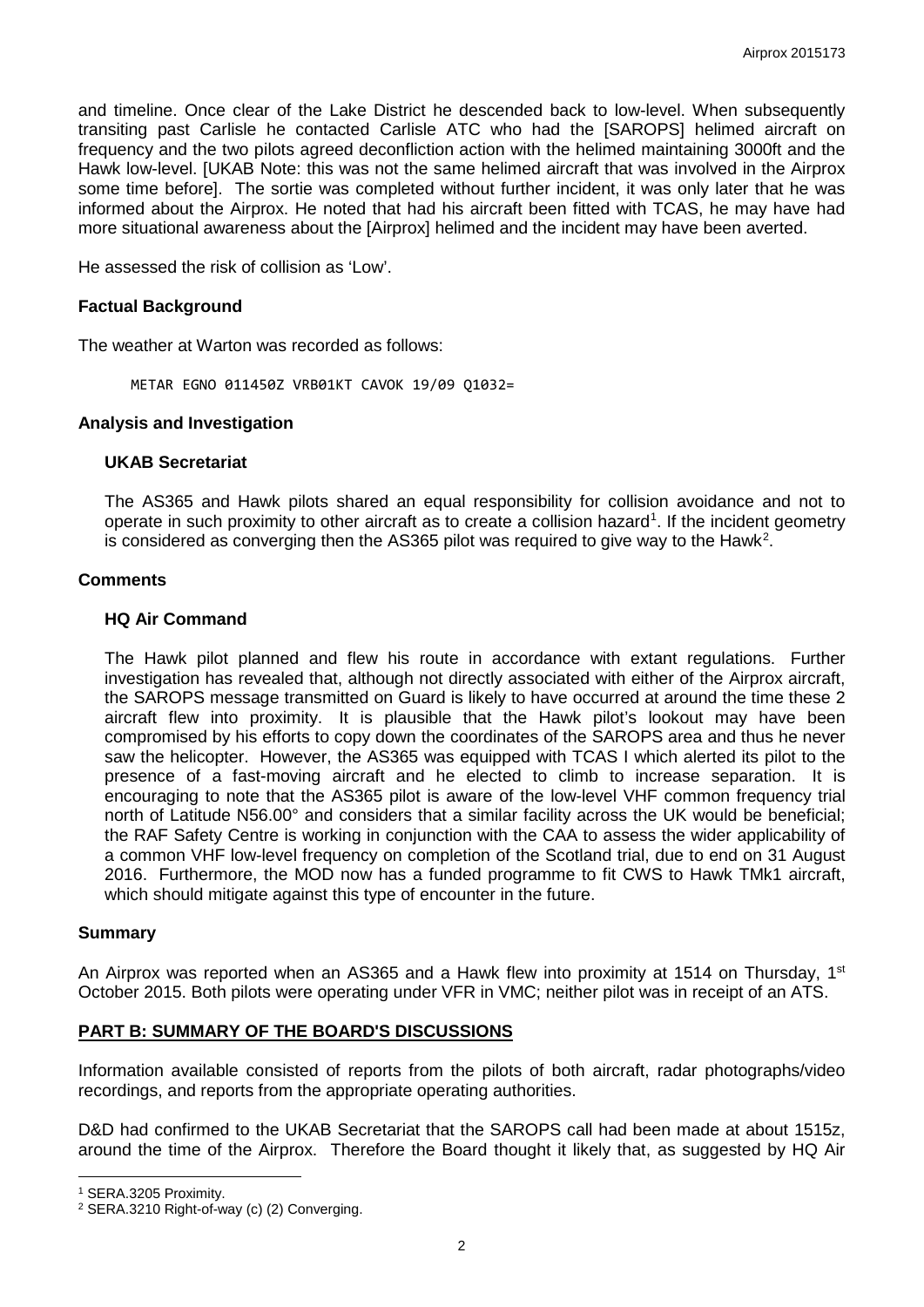and timeline. Once clear of the Lake District he descended back to low-level. When subsequently transiting past Carlisle he contacted Carlisle ATC who had the [SAROPS] helimed aircraft on frequency and the two pilots agreed deconfliction action with the helimed maintaining 3000ft and the Hawk low-level. [UKAB Note: this was not the same helimed aircraft that was involved in the Airprox some time before]. The sortie was completed without further incident, it was only later that he was informed about the Airprox. He noted that had his aircraft been fitted with TCAS, he may have had more situational awareness about the [Airprox] helimed and the incident may have been averted.

He assessed the risk of collision as 'Low'.

### **Factual Background**

The weather at Warton was recorded as follows:

METAR EGNO 011450Z VRB01KT CAVOK 19/09 Q1032=

#### **Analysis and Investigation**

### **UKAB Secretariat**

The AS365 and Hawk pilots shared an equal responsibility for collision avoidance and not to operate in such proximity to other aircraft as to create a collision hazard<sup>[1](#page-1-0)</sup>. If the incident geometry is considered as converging then the AS365 pilot was required to give way to the Hawk<sup>[2](#page-1-1)</sup>.

#### **Comments**

#### **HQ Air Command**

The Hawk pilot planned and flew his route in accordance with extant regulations. Further investigation has revealed that, although not directly associated with either of the Airprox aircraft, the SAROPS message transmitted on Guard is likely to have occurred at around the time these 2 aircraft flew into proximity. It is plausible that the Hawk pilot's lookout may have been compromised by his efforts to copy down the coordinates of the SAROPS area and thus he never saw the helicopter. However, the AS365 was equipped with TCAS I which alerted its pilot to the presence of a fast-moving aircraft and he elected to climb to increase separation. It is encouraging to note that the AS365 pilot is aware of the low-level VHF common frequency trial north of Latitude N56.00° and considers that a similar facility across the UK would be beneficial; the RAF Safety Centre is working in conjunction with the CAA to assess the wider applicability of a common VHF low-level frequency on completion of the Scotland trial, due to end on 31 August 2016. Furthermore, the MOD now has a funded programme to fit CWS to Hawk TMk1 aircraft, which should mitigate against this type of encounter in the future.

#### **Summary**

An Airprox was reported when an AS365 and a Hawk flew into proximity at 1514 on Thursday,  $1<sup>st</sup>$ October 2015. Both pilots were operating under VFR in VMC; neither pilot was in receipt of an ATS.

### **PART B: SUMMARY OF THE BOARD'S DISCUSSIONS**

Information available consisted of reports from the pilots of both aircraft, radar photographs/video recordings, and reports from the appropriate operating authorities.

D&D had confirmed to the UKAB Secretariat that the SAROPS call had been made at about 1515z, around the time of the Airprox. Therefore the Board thought it likely that, as suggested by HQ Air

l

<span id="page-1-0"></span><sup>1</sup> SERA.3205 Proximity.

<span id="page-1-1"></span><sup>2</sup> SERA.3210 Right-of-way (c) (2) Converging.